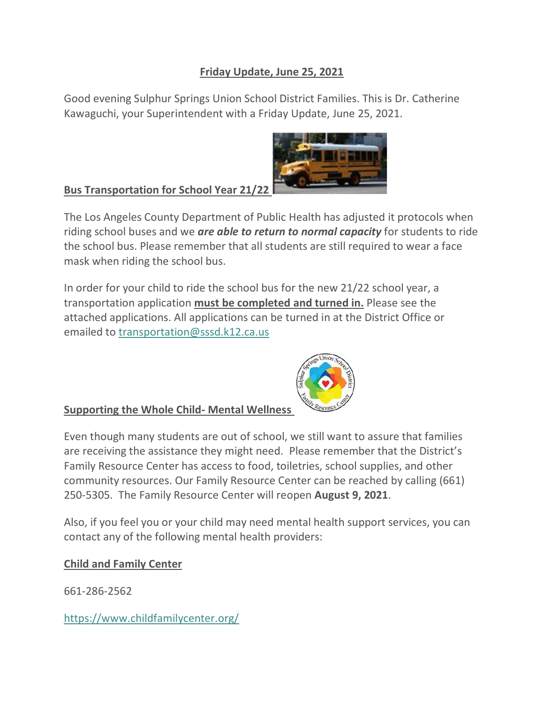# **Friday Update, June 25, 2021**

Good evening Sulphur Springs Union School District Families. This is Dr. Catherine Kawaguchi, your Superintendent with a Friday Update, June 25, 2021.



**Bus Transportation for School Year 21/** 

The Los Angeles County Department of Public Health has adjusted it protocols when riding school buses and we *are able to return to normal capacity* for students to ride the school bus. Please remember that all students are still required to wear a face mask when riding the school bus.

In order for your child to ride the school bus for the new 21/22 school year, a transportation application **must be completed and turned in.** Please see the attached applications. All applications can be turned in at the District Office or emailed to [transportation@sssd.k12.ca.us](https://mail.google.com/mail/?view=cm&source=mailto&to=transportation@sssd.k12.ca.us)



# **Supporting the Whole Child- Mental Wellness**

Even though many students are out of school, we still want to assure that families are receiving the assistance they might need. Please remember that the District's Family Resource Center has access to food, toiletries, school supplies, and other community resources. Our Family Resource Center can be reached by calling (661) 250-5305. The Family Resource Center will reopen **August 9, 2021**.

Also, if you feel you or your child may need mental health support services, you can contact any of the following mental health providers:

# **Child and Family Center**

661-286-2562

<https://www.childfamilycenter.org/>